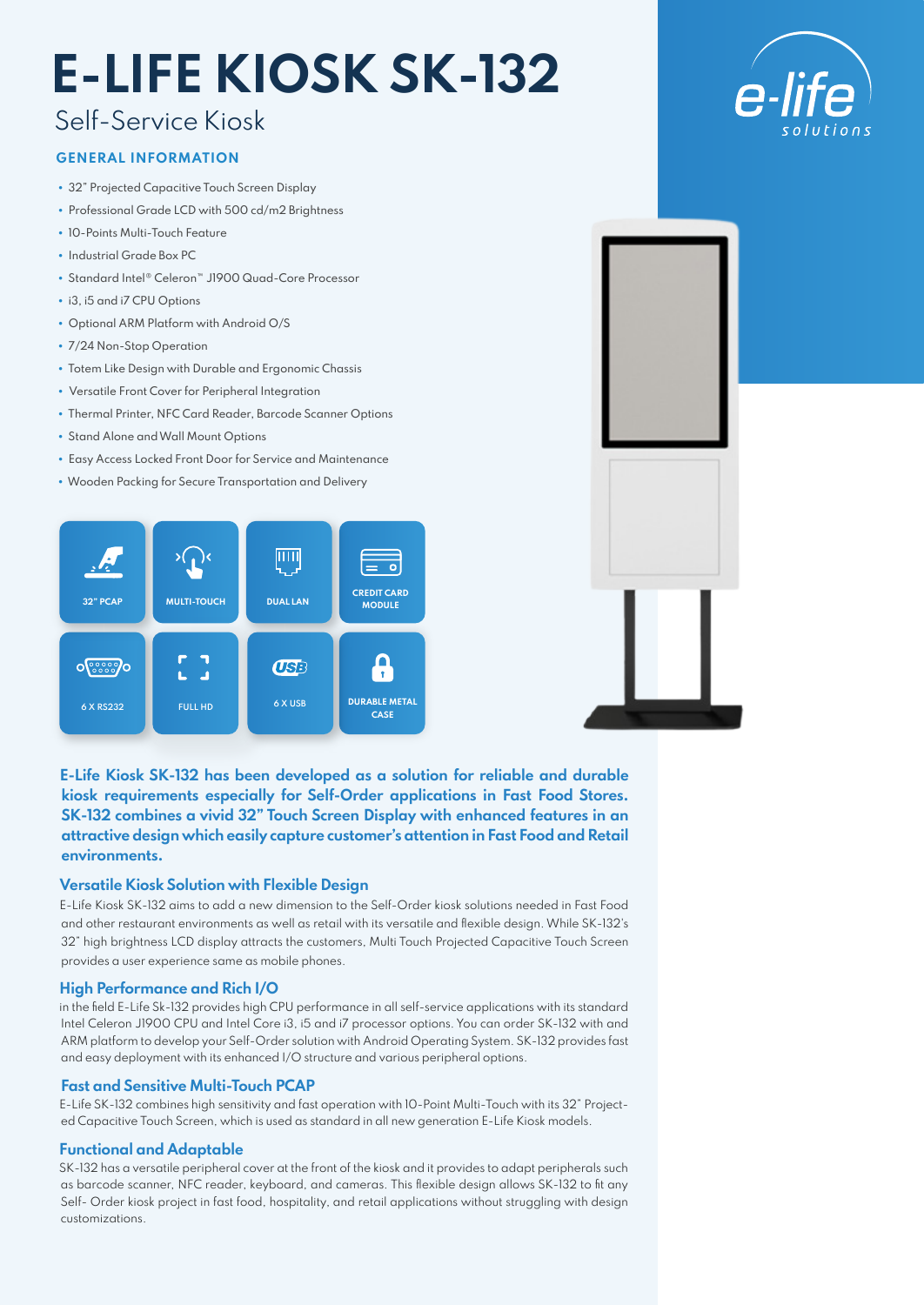# **E-LIFE KIOSK SK-132**

## Self-Service Kiosk

#### **GENERAL INFORMATION**

- 32" Projected Capacitive Touch Screen Display
- Professional Grade LCD with 500 cd/m2 Brightness
- 10-Points Multi-Touch Feature
- Industrial Grade Box PC
- Standard Intel® Celeron™ J1900 Quad-Core Processor
- i3, i5 and i7 CPU Options
- Optional ARM Platform with Android O/S
- 7/24 Non-Stop Operation
- Totem Like Design with Durable and Ergonomic Chassis
- Versatile Front Cover for Peripheral Integration
- Thermal Printer, NFC Card Reader, Barcode Scanner Options
- Stand Alone and Wall Mount Options
- Easy Access Locked Front Door for Service and Maintenance
- Wooden Packing for Secure Transportation and Delivery





**E-Life Kiosk SK-132 has been developed as a solution for reliable and durable kiosk requirements especially for Self-Order applications in Fast Food Stores. SK-132 combines a vivid 32" Touch Screen Display with enhanced features in an attractive design which easily capture customer's attention in Fast Food and Retail environments.**

#### **Versatile Kiosk Solution with Flexible Design**

E-Life Kiosk SK-132 aims to add a new dimension to the Self-Order kiosk solutions needed in Fast Food and other restaurant environments as well as retail with its versatile and flexible design. While SK-132's 32" high brightness LCD display attracts the customers, Multi Touch Projected Capacitive Touch Screen provides a user experience same as mobile phones.

#### **High Performance and Rich I/O**

in the field E-Life Sk-132 provides high CPU performance in all self-service applications with its standard Intel Celeron J1900 CPU and Intel Core i3, i5 and i7 processor options. You can order SK-132 with and ARM platform to develop your Self-Order solution with Android Operating System. SK-132 provides fast and easy deployment with its enhanced I/O structure and various peripheral options.

#### **Fast and Sensitive Multi-Touch PCAP**

E-Life SK-132 combines high sensitivity and fast operation with 10-Point Multi-Touch with its 32" Projected Capacitive Touch Screen, which is used as standard in all new generation E-Life Kiosk models.

#### **Functional and Adaptable**

SK-132 has a versatile peripheral cover at the front of the kiosk and it provides to adapt peripherals such as barcode scanner, NFC reader, keyboard, and cameras. This flexible design allows SK-132 to fit any Self- Order kiosk project in fast food, hospitality, and retail applications without struggling with design customizations.